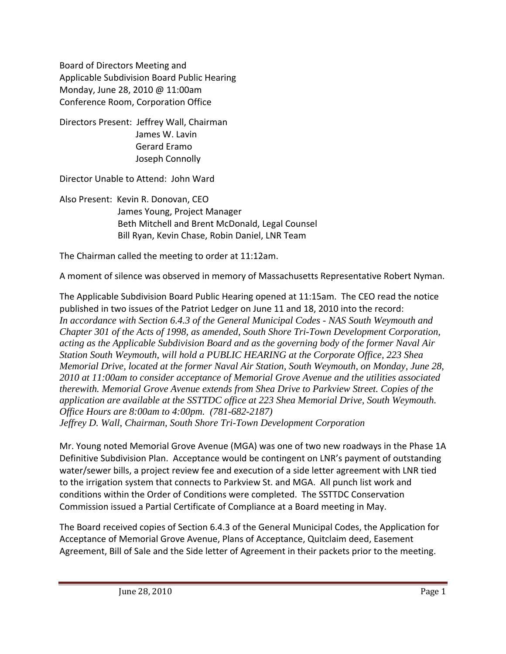Board of Directors Meeting and Applicable Subdivision Board Public Hearing Monday, June 28, 2010 @ 11:00am Conference Room, Corporation Office

Directors Present: Jeffrey Wall, Chairman James W. Lavin Gerard Eramo Joseph Connolly

Director Unable to Attend: John Ward

Also Present: Kevin R. Donovan, CEO James Young, Project Manager Beth Mitchell and Brent McDonald, Legal Counsel Bill Ryan, Kevin Chase, Robin Daniel, LNR Team

The Chairman called the meeting to order at 11:12am.

A moment of silence was observed in memory of Massachusetts Representative Robert Nyman.

The Applicable Subdivision Board Public Hearing opened at 11:15am. The CEO read the notice published in two issues of the Patriot Ledger on June 11 and 18, 2010 into the record: *In accordance with Section 6.4.3 of the General Municipal Codes - NAS South Weymouth and Chapter 301 of the Acts of 1998, as amended, South Shore Tri-Town Development Corporation, acting as the Applicable Subdivision Board and as the governing body of the former Naval Air Station South Weymouth, will hold a PUBLIC HEARING at the Corporate Office, 223 Shea Memorial Drive, located at the former Naval Air Station, South Weymouth, on Monday, June 28, 2010 at 11:00am to consider acceptance of Memorial Grove Avenue and the utilities associated therewith. Memorial Grove Avenue extends from Shea Drive to Parkview Street. Copies of the application are available at the SSTTDC office at 223 Shea Memorial Drive, South Weymouth. Office Hours are 8:00am to 4:00pm. (781-682-2187) Jeffrey D. Wall, Chairman, South Shore Tri-Town Development Corporation* 

Mr. Young noted Memorial Grove Avenue (MGA) was one of two new roadways in the Phase 1A Definitive Subdivision Plan. Acceptance would be contingent on LNR's payment of outstanding water/sewer bills, a project review fee and execution of a side letter agreement with LNR tied to the irrigation system that connects to Parkview St. and MGA. All punch list work and conditions within the Order of Conditions were completed. The SSTTDC Conservation Commission issued a Partial Certificate of Compliance at a Board meeting in May.

The Board received copies of Section 6.4.3 of the General Municipal Codes, the Application for Acceptance of Memorial Grove Avenue, Plans of Acceptance, Quitclaim deed, Easement Agreement, Bill of Sale and the Side letter of Agreement in their packets prior to the meeting.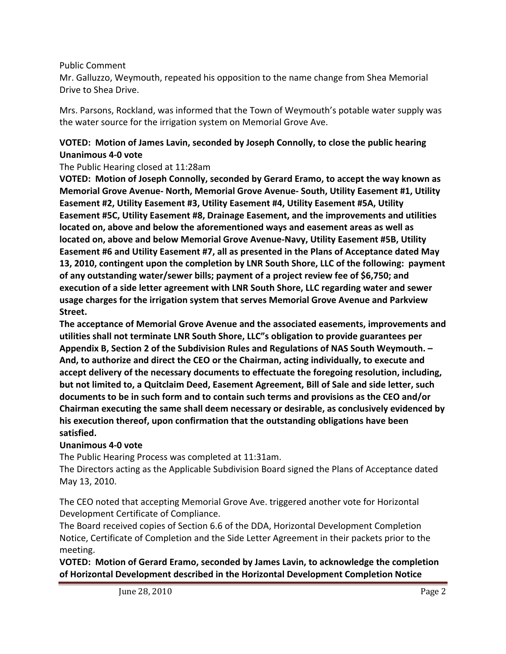#### Public Comment

Mr. Galluzzo, Weymouth, repeated his opposition to the name change from Shea Memorial Drive to Shea Drive.

Mrs. Parsons, Rockland, was informed that the Town of Weymouth's potable water supply was the water source for the irrigation system on Memorial Grove Ave.

## **VOTED: Motion of James Lavin, seconded by Joseph Connolly, to close the public hearing Unanimous 4‐0 vote**

The Public Hearing closed at 11:28am

**VOTED: Motion of Joseph Connolly, seconded by Gerard Eramo, to accept the way known as Memorial Grove Avenue‐ North, Memorial Grove Avenue‐ South, Utility Easement #1, Utility Easement #2, Utility Easement #3, Utility Easement #4, Utility Easement #5A, Utility Easement #5C, Utility Easement #8, Drainage Easement, and the improvements and utilities located on, above and below the aforementioned ways and easement areas as well as located on, above and below Memorial Grove Avenue‐Navy, Utility Easement #5B, Utility Easement #6 and Utility Easement #7, all as presented in the Plans of Acceptance dated May 13, 2010, contingent upon the completion by LNR South Shore, LLC of the following: payment of any outstanding water/sewer bills; payment of a project review fee of \$6,750; and execution of a side letter agreement with LNR South Shore, LLC regarding water and sewer usage charges for the irrigation system that serves Memorial Grove Avenue and Parkview Street.**

**The acceptance of Memorial Grove Avenue and the associated easements, improvements and utilities shall not terminate LNR South Shore, LLC"s obligation to provide guarantees per Appendix B, Section 2 of the Subdivision Rules and Regulations of NAS South Weymouth. – And, to authorize and direct the CEO or the Chairman, acting individually, to execute and accept delivery of the necessary documents to effectuate the foregoing resolution, including, but not limited to, a Quitclaim Deed, Easement Agreement, Bill of Sale and side letter, such documents to be in such form and to contain such terms and provisions as the CEO and/or Chairman executing the same shall deem necessary or desirable, as conclusively evidenced by his execution thereof, upon confirmation that the outstanding obligations have been satisfied.**

#### **Unanimous 4‐0 vote**

The Public Hearing Process was completed at 11:31am.

The Directors acting as the Applicable Subdivision Board signed the Plans of Acceptance dated May 13, 2010.

The CEO noted that accepting Memorial Grove Ave. triggered another vote for Horizontal Development Certificate of Compliance.

The Board received copies of Section 6.6 of the DDA, Horizontal Development Completion Notice, Certificate of Completion and the Side Letter Agreement in their packets prior to the meeting.

**VOTED: Motion of Gerard Eramo, seconded by James Lavin, to acknowledge the completion of Horizontal Development described in the Horizontal Development Completion Notice**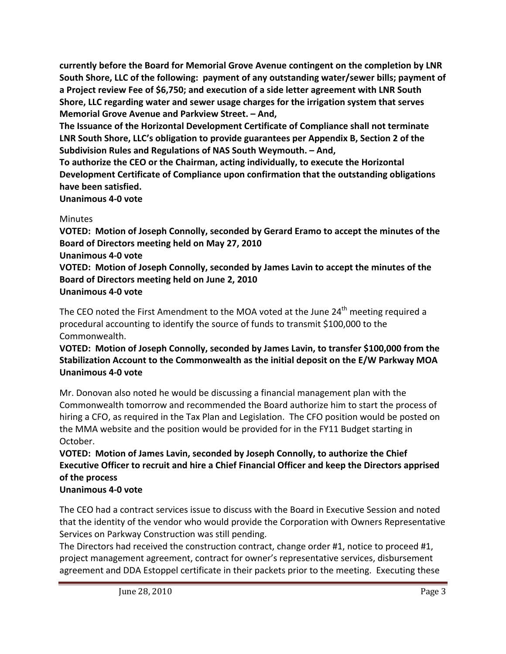**currently before the Board for Memorial Grove Avenue contingent on the completion by LNR South Shore, LLC of the following: payment of any outstanding water/sewer bills; payment of a Project review Fee of \$6,750; and execution of a side letter agreement with LNR South Shore, LLC regarding water and sewer usage charges for the irrigation system that serves Memorial Grove Avenue and Parkview Street. – And,**

**The Issuance of the Horizontal Development Certificate of Compliance shall not terminate LNR South Shore, LLC's obligation to provide guarantees per Appendix B, Section 2 of the Subdivision Rules and Regulations of NAS South Weymouth. – And,**

**To authorize the CEO or the Chairman, acting individually, to execute the Horizontal Development Certificate of Compliance upon confirmation that the outstanding obligations have been satisfied.**

**Unanimous 4‐0 vote**

## **Minutes**

**VOTED: Motion of Joseph Connolly, seconded by Gerard Eramo to accept the minutes of the Board of Directors meeting held on May 27, 2010**

#### **Unanimous 4‐0 vote**

**VOTED: Motion of Joseph Connolly, seconded by James Lavin to accept the minutes of the Board of Directors meeting held on June 2, 2010 Unanimous 4‐0 vote**

The CEO noted the First Amendment to the MOA voted at the June 24<sup>th</sup> meeting required a procedural accounting to identify the source of funds to transmit \$100,000 to the Commonwealth.

## **VOTED: Motion of Joseph Connolly, seconded by James Lavin, to transfer \$100,000 from the Stabilization Account to the Commonwealth as the initial deposit on the E/W Parkway MOA Unanimous 4‐0 vote**

Mr. Donovan also noted he would be discussing a financial management plan with the Commonwealth tomorrow and recommended the Board authorize him to start the process of hiring a CFO, as required in the Tax Plan and Legislation. The CFO position would be posted on the MMA website and the position would be provided for in the FY11 Budget starting in October.

# **VOTED: Motion of James Lavin, seconded by Joseph Connolly, to authorize the Chief Executive Officer to recruit and hire a Chief Financial Officer and keep the Directors apprised of the process**

# **Unanimous 4‐0 vote**

The CEO had a contract services issue to discuss with the Board in Executive Session and noted that the identity of the vendor who would provide the Corporation with Owners Representative Services on Parkway Construction was still pending.

The Directors had received the construction contract, change order #1, notice to proceed #1, project management agreement, contract for owner's representative services, disbursement agreement and DDA Estoppel certificate in their packets prior to the meeting. Executing these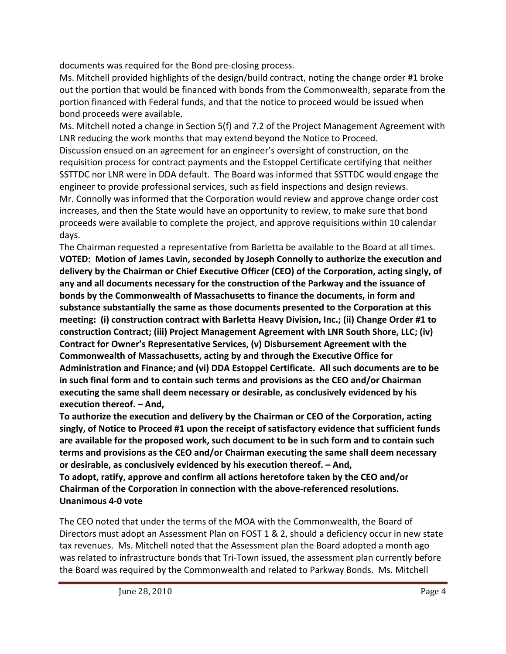documents was required for the Bond pre‐closing process.

Ms. Mitchell provided highlights of the design/build contract, noting the change order #1 broke out the portion that would be financed with bonds from the Commonwealth, separate from the portion financed with Federal funds, and that the notice to proceed would be issued when bond proceeds were available.

Ms. Mitchell noted a change in Section 5(f) and 7.2 of the Project Management Agreement with LNR reducing the work months that may extend beyond the Notice to Proceed. Discussion ensued on an agreement for an engineer's oversight of construction, on the requisition process for contract payments and the Estoppel Certificate certifying that neither SSTTDC nor LNR were in DDA default. The Board was informed that SSTTDC would engage the engineer to provide professional services, such as field inspections and design reviews. Mr. Connolly was informed that the Corporation would review and approve change order cost increases, and then the State would have an opportunity to review, to make sure that bond proceeds were available to complete the project, and approve requisitions within 10 calendar days.

The Chairman requested a representative from Barletta be available to the Board at all times. **VOTED: Motion of James Lavin, seconded by Joseph Connolly to authorize the execution and delivery by the Chairman or Chief Executive Officer (CEO) of the Corporation, acting singly, of any and all documents necessary for the construction of the Parkway and the issuance of bonds by the Commonwealth of Massachusetts to finance the documents, in form and substance substantially the same as those documents presented to the Corporation at this meeting: (i) construction contract with Barletta Heavy Division, Inc.; (ii) Change Order #1 to construction Contract; (iii) Project Management Agreement with LNR South Shore, LLC; (iv) Contract for Owner's Representative Services, (v) Disbursement Agreement with the Commonwealth of Massachusetts, acting by and through the Executive Office for Administration and Finance; and (vi) DDA Estoppel Certificate. All such documents are to be in such final form and to contain such terms and provisions as the CEO and/or Chairman executing the same shall deem necessary or desirable, as conclusively evidenced by his execution thereof. – And,**

**To authorize the execution and delivery by the Chairman or CEO of the Corporation, acting singly, of Notice to Proceed #1 upon the receipt of satisfactory evidence that sufficient funds are available for the proposed work, such document to be in such form and to contain such terms and provisions as the CEO and/or Chairman executing the same shall deem necessary or desirable, as conclusively evidenced by his execution thereof. – And,**

**To adopt, ratify, approve and confirm all actions heretofore taken by the CEO and/or Chairman of the Corporation in connection with the above‐referenced resolutions. Unanimous 4‐0 vote**

The CEO noted that under the terms of the MOA with the Commonwealth, the Board of Directors must adopt an Assessment Plan on FOST 1 & 2, should a deficiency occur in new state tax revenues. Ms. Mitchell noted that the Assessment plan the Board adopted a month ago was related to infrastructure bonds that Tri-Town issued, the assessment plan currently before the Board was required by the Commonwealth and related to Parkway Bonds. Ms. Mitchell